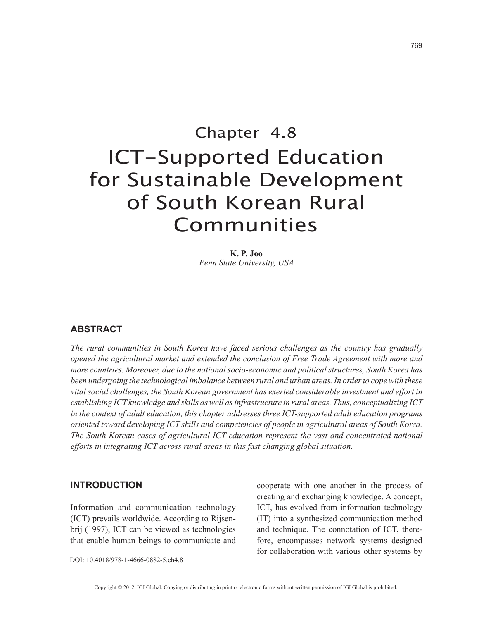769

# Chapter 4.8 ICT-Supported Education for Sustainable Development of South Korean Rural Communities

**K. P. Joo** *Penn State University, USA*

### **ABSTRACT**

*The rural communities in South Korea have faced serious challenges as the country has gradually opened the agricultural market and extended the conclusion of Free Trade Agreement with more and more countries. Moreover, due to the national socio-economic and political structures, South Korea has been undergoing the technological imbalance between rural and urban areas. In order to cope with these vital social challenges, the South Korean government has exerted considerable investment and effort in establishing ICT knowledge and skills as well as infrastructure in rural areas. Thus, conceptualizing ICT in the context of adult education, this chapter addresses three ICT-supported adult education programs oriented toward developing ICT skills and competencies of people in agricultural areas of South Korea. The South Korean cases of agricultural ICT education represent the vast and concentrated national efforts in integrating ICT across rural areas in this fast changing global situation.*

#### **INTRODUCTION**

Information and communication technology (ICT) prevails worldwide. According to Rijsenbrij (1997), ICT can be viewed as technologies that enable human beings to communicate and cooperate with one another in the process of creating and exchanging knowledge. A concept, ICT, has evolved from information technology (IT) into a synthesized communication method and technique. The connotation of ICT, therefore, encompasses network systems designed for collaboration with various other systems by

DOI: 10.4018/978-1-4666-0882-5.ch4.8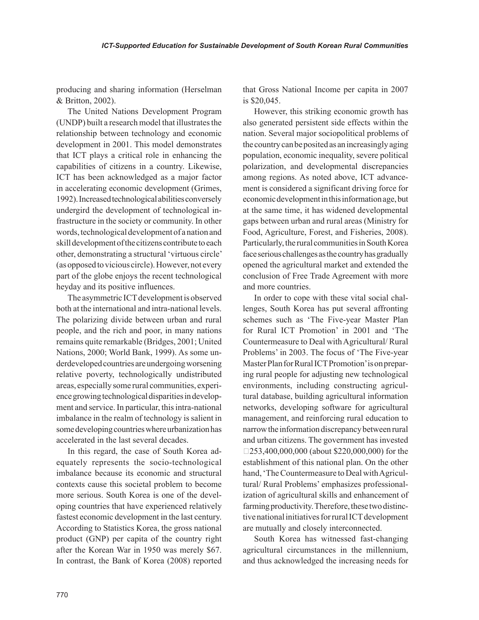producing and sharing information (Herselman & Britton, 2002).

The United Nations Development Program (UNDP) built a research model that illustrates the relationship between technology and economic development in 2001. This model demonstrates that ICT plays a critical role in enhancing the capabilities of citizens in a country. Likewise, ICT has been acknowledged as a major factor in accelerating economic development (Grimes, 1992). Increased technological abilities conversely undergird the development of technological infrastructure in the society or community. In other words, technological development of a nation and skill development of the citizens contribute to each other, demonstrating a structural 'virtuous circle' (as opposed to vicious circle). However, not every part of the globe enjoys the recent technological heyday and its positive influences.

The asymmetric ICT development is observed both at the international and intra-national levels. The polarizing divide between urban and rural people, and the rich and poor, in many nations remains quite remarkable (Bridges, 2001; United Nations, 2000; World Bank, 1999). As some underdeveloped countries are undergoing worsening relative poverty, technologically undistributed areas, especially some rural communities, experience growing technological disparities in development and service. In particular, this intra-national imbalance in the realm of technology is salient in some developing countries where urbanization has accelerated in the last several decades.

In this regard, the case of South Korea adequately represents the socio-technological imbalance because its economic and structural contexts cause this societal problem to become more serious. South Korea is one of the developing countries that have experienced relatively fastest economic development in the last century. According to Statistics Korea, the gross national product (GNP) per capita of the country right after the Korean War in 1950 was merely \$67. In contrast, the Bank of Korea (2008) reported that Gross National Income per capita in 2007 is \$20,045.

However, this striking economic growth has also generated persistent side effects within the nation. Several major sociopolitical problems of the country can be posited as an increasingly aging population, economic inequality, severe political polarization, and developmental discrepancies among regions. As noted above, ICT advancement is considered a significant driving force for economic development in this information age, but at the same time, it has widened developmental gaps between urban and rural areas (Ministry for Food, Agriculture, Forest, and Fisheries, 2008). Particularly, the rural communities in South Korea face serious challenges as the country has gradually opened the agricultural market and extended the conclusion of Free Trade Agreement with more and more countries.

In order to cope with these vital social challenges, South Korea has put several affronting schemes such as 'The Five-year Master Plan for Rural ICT Promotion' in 2001 and 'The Countermeasure to Deal with Agricultural/ Rural Problems' in 2003. The focus of 'The Five-year Master Plan for Rural ICT Promotion' is on preparing rural people for adjusting new technological environments, including constructing agricultural database, building agricultural information networks, developing software for agricultural management, and reinforcing rural education to narrow the information discrepancy between rural and urban citizens. The government has invested  $\Box$ 253,400,000,000 (about \$220,000,000) for the establishment of this national plan. On the other hand, 'The Countermeasure to Deal with Agricultural/ Rural Problems' emphasizes professionalization of agricultural skills and enhancement of farming productivity. Therefore, these two distinctive national initiatives for rural ICT development are mutually and closely interconnected.

South Korea has witnessed fast-changing agricultural circumstances in the millennium, and thus acknowledged the increasing needs for